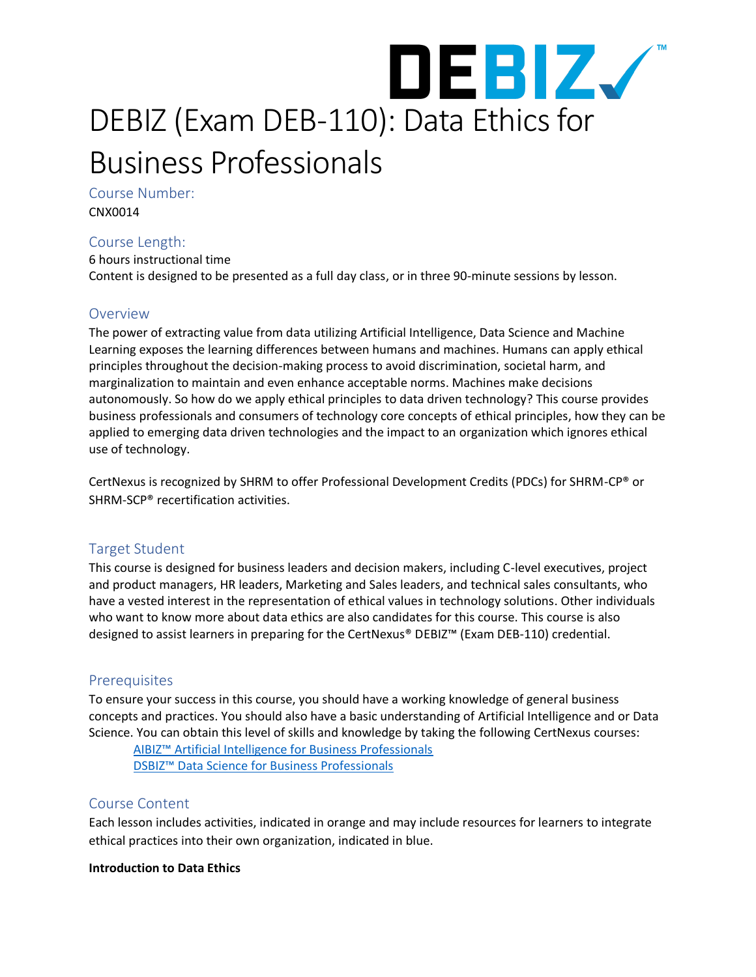

Course Number:

CNX0014

# Course Length:

6 hours instructional time Content is designed to be presented as a full day class, or in three 90-minute sessions by lesson.

# **Overview**

The power of extracting value from data utilizing Artificial Intelligence, Data Science and Machine Learning exposes the learning differences between humans and machines. Humans can apply ethical principles throughout the decision-making process to avoid discrimination, societal harm, and marginalization to maintain and even enhance acceptable norms. Machines make decisions autonomously. So how do we apply ethical principles to data driven technology? This course provides business professionals and consumers of technology core concepts of ethical principles, how they can be applied to emerging data driven technologies and the impact to an organization which ignores ethical use of technology.

CertNexus is recognized by SHRM to offer Professional Development Credits (PDCs) for SHRM-CP® or SHRM-SCP® recertification activities.

# Target Student

This course is designed for business leaders and decision makers, including C-level executives, project and product managers, HR leaders, Marketing and Sales leaders, and technical sales consultants, who have a vested interest in the representation of ethical values in technology solutions. Other individuals who want to know more about data ethics are also candidates for this course. This course is also designed to assist learners in preparing for the CertNexus® DEBIZ™ (Exam DEB-110) credential.

# **Prerequisites**

To ensure your success in this course, you should have a working knowledge of general business concepts and practices. You should also have a basic understanding of Artificial Intelligence and or Data Science. You can obtain this level of skills and knowledge by taking the following CertNexus courses:

[AIBIZ™ Artificial Intelligence for Business Professionals](https://certnexus.com/certification/aibiz/) [DSBIZ™ Data Science for Business Professionals](https://certnexus.com/certification/dsbiz/)

# Course Content

Each lesson includes activities, indicated in orange and may include resources for learners to integrate ethical practices into their own organization, indicated in blue.

#### **Introduction to Data Ethics**